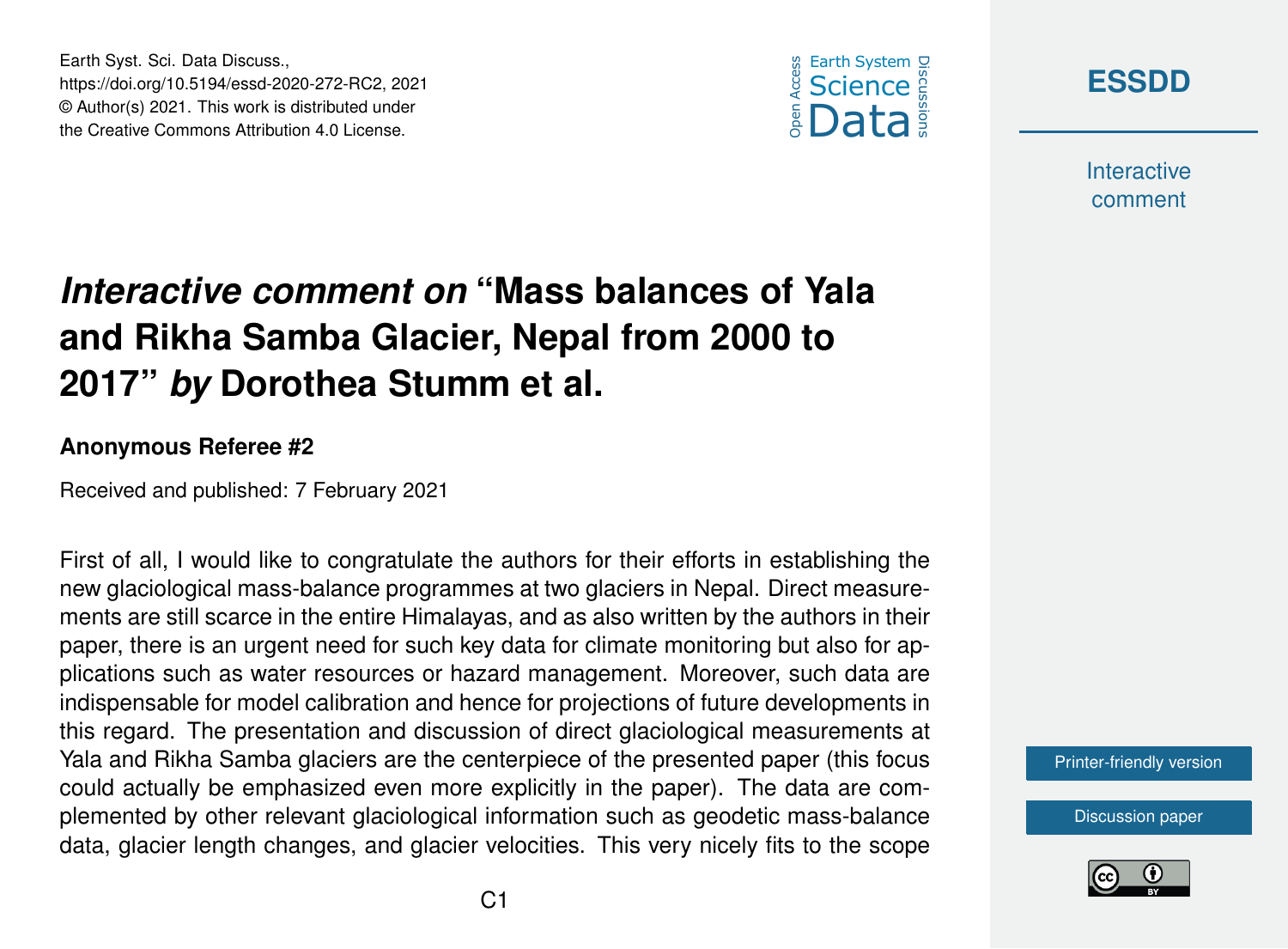





**Interactive** comment

# *Interactive comment on* **"Mass balances of Yala and Rikha Samba Glacier, Nepal from 2000 to 2017"** *by* **Dorothea Stumm et al.**

#### **Anonymous Referee #2**

Received and published: 7 February 2021

First of all, I would like to congratulate the authors for their efforts in establishing the new glaciological mass-balance programmes at two glaciers in Nepal. Direct measurements are still scarce in the entire Himalayas, and as also written by the authors in their paper, there is an urgent need for such key data for climate monitoring but also for applications such as water resources or hazard management. Moreover, such data are indispensable for model calibration and hence for projections of future developments in this regard. The presentation and discussion of direct glaciological measurements at Yala and Rikha Samba glaciers are the centerpiece of the presented paper (this focus could actually be emphasized even more explicitly in the paper). The data are complemented by other relevant glaciological information such as geodetic mass-balance data, glacier length changes, and glacier velocities. This very nicely fits to the scope

[Printer-friendly version](https://essd.copernicus.org/preprints/essd-2020-272/essd-2020-272-RC2-print.pdf)

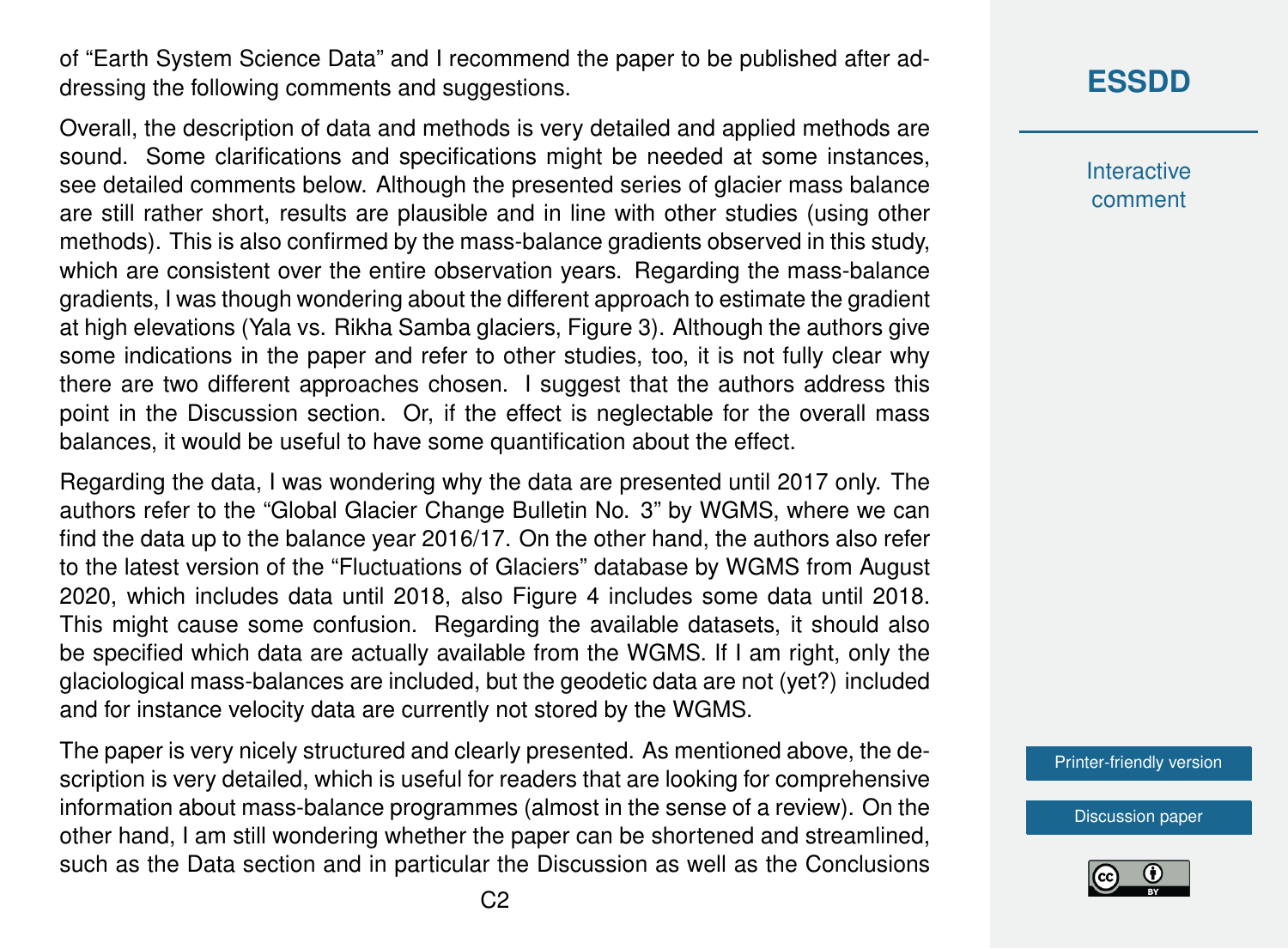of "Earth System Science Data" and I recommend the paper to be published after addressing the following comments and suggestions.

Overall, the description of data and methods is very detailed and applied methods are sound. Some clarifications and specifications might be needed at some instances, see detailed comments below. Although the presented series of glacier mass balance are still rather short, results are plausible and in line with other studies (using other methods). This is also confirmed by the mass-balance gradients observed in this study, which are consistent over the entire observation years. Regarding the mass-balance gradients, I was though wondering about the different approach to estimate the gradient at high elevations (Yala vs. Rikha Samba glaciers, Figure 3). Although the authors give some indications in the paper and refer to other studies, too, it is not fully clear why there are two different approaches chosen. I suggest that the authors address this point in the Discussion section. Or, if the effect is neglectable for the overall mass balances, it would be useful to have some quantification about the effect.

Regarding the data, I was wondering why the data are presented until 2017 only. The authors refer to the "Global Glacier Change Bulletin No. 3" by WGMS, where we can find the data up to the balance year 2016/17. On the other hand, the authors also refer to the latest version of the "Fluctuations of Glaciers" database by WGMS from August 2020, which includes data until 2018, also Figure 4 includes some data until 2018. This might cause some confusion. Regarding the available datasets, it should also be specified which data are actually available from the WGMS. If I am right, only the glaciological mass-balances are included, but the geodetic data are not (yet?) included and for instance velocity data are currently not stored by the WGMS.

The paper is very nicely structured and clearly presented. As mentioned above, the description is very detailed, which is useful for readers that are looking for comprehensive information about mass-balance programmes (almost in the sense of a review). On the other hand, I am still wondering whether the paper can be shortened and streamlined, such as the Data section and in particular the Discussion as well as the Conclusions **Interactive** comment

[Printer-friendly version](https://essd.copernicus.org/preprints/essd-2020-272/essd-2020-272-RC2-print.pdf)

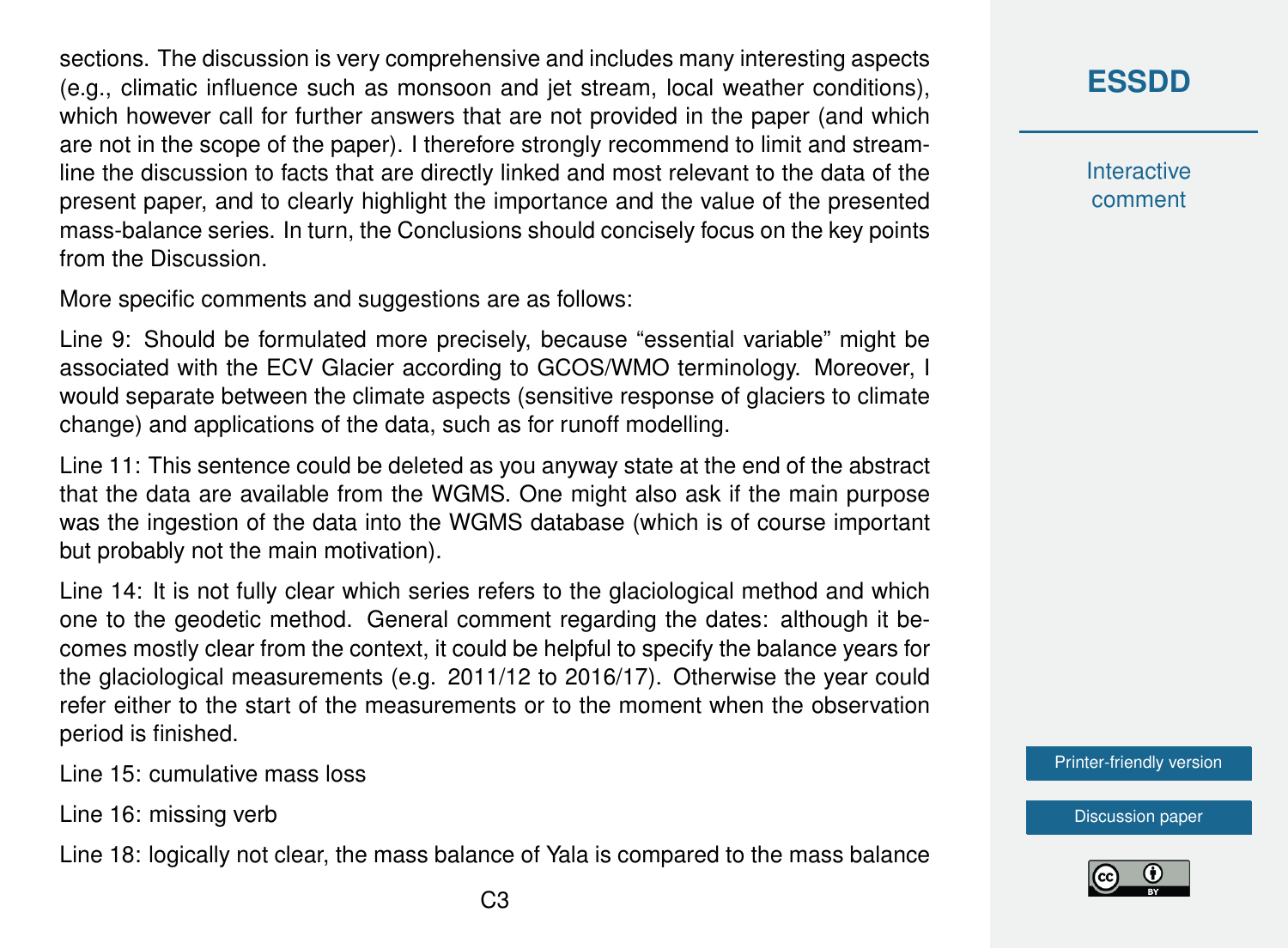sections. The discussion is very comprehensive and includes many interesting aspects (e.g., climatic influence such as monsoon and jet stream, local weather conditions), which however call for further answers that are not provided in the paper (and which are not in the scope of the paper). I therefore strongly recommend to limit and streamline the discussion to facts that are directly linked and most relevant to the data of the present paper, and to clearly highlight the importance and the value of the presented mass-balance series. In turn, the Conclusions should concisely focus on the key points from the Discussion.

More specific comments and suggestions are as follows:

Line 9: Should be formulated more precisely, because "essential variable" might be associated with the ECV Glacier according to GCOS/WMO terminology. Moreover, I would separate between the climate aspects (sensitive response of glaciers to climate change) and applications of the data, such as for runoff modelling.

Line 11: This sentence could be deleted as you anyway state at the end of the abstract that the data are available from the WGMS. One might also ask if the main purpose was the ingestion of the data into the WGMS database (which is of course important but probably not the main motivation).

Line 14: It is not fully clear which series refers to the glaciological method and which one to the geodetic method. General comment regarding the dates: although it becomes mostly clear from the context, it could be helpful to specify the balance years for the glaciological measurements (e.g. 2011/12 to 2016/17). Otherwise the year could refer either to the start of the measurements or to the moment when the observation period is finished.

Line 15: cumulative mass loss

Line 16: missing verb

Line 18: logically not clear, the mass balance of Yala is compared to the mass balance

#### **[ESSDD](https://essd.copernicus.org/preprints/)**

**Interactive** comment

[Printer-friendly version](https://essd.copernicus.org/preprints/essd-2020-272/essd-2020-272-RC2-print.pdf)

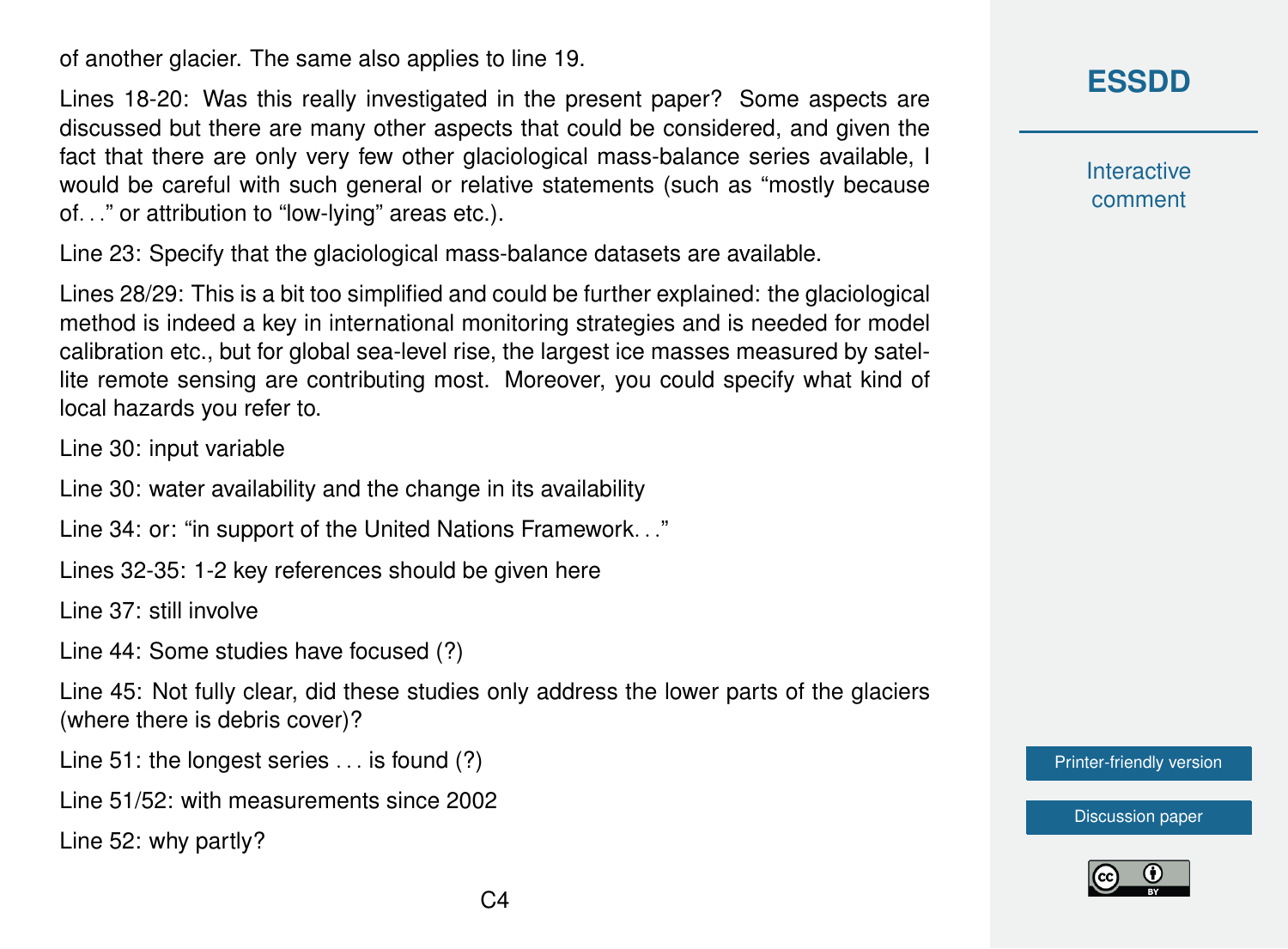of another glacier. The same also applies to line 19.

Lines 18-20: Was this really investigated in the present paper? Some aspects are discussed but there are many other aspects that could be considered, and given the fact that there are only very few other glaciological mass-balance series available, I would be careful with such general or relative statements (such as "mostly because of. . ." or attribution to "low-lying" areas etc.).

Line 23: Specify that the glaciological mass-balance datasets are available.

Lines 28/29: This is a bit too simplified and could be further explained: the glaciological method is indeed a key in international monitoring strategies and is needed for model calibration etc., but for global sea-level rise, the largest ice masses measured by satellite remote sensing are contributing most. Moreover, you could specify what kind of local hazards you refer to.

Line 30: input variable

Line 30: water availability and the change in its availability

Line 34: or: "in support of the United Nations Framework. . ."

Lines 32-35: 1-2 key references should be given here

Line 37: still involve

Line 44: Some studies have focused (?)

Line 45: Not fully clear, did these studies only address the lower parts of the glaciers (where there is debris cover)?

Line 51: the longest series . . . is found (?)

Line 51/52: with measurements since 2002

Line 52: why partly?

**[ESSDD](https://essd.copernicus.org/preprints/)**

**Interactive** comment

[Printer-friendly version](https://essd.copernicus.org/preprints/essd-2020-272/essd-2020-272-RC2-print.pdf)

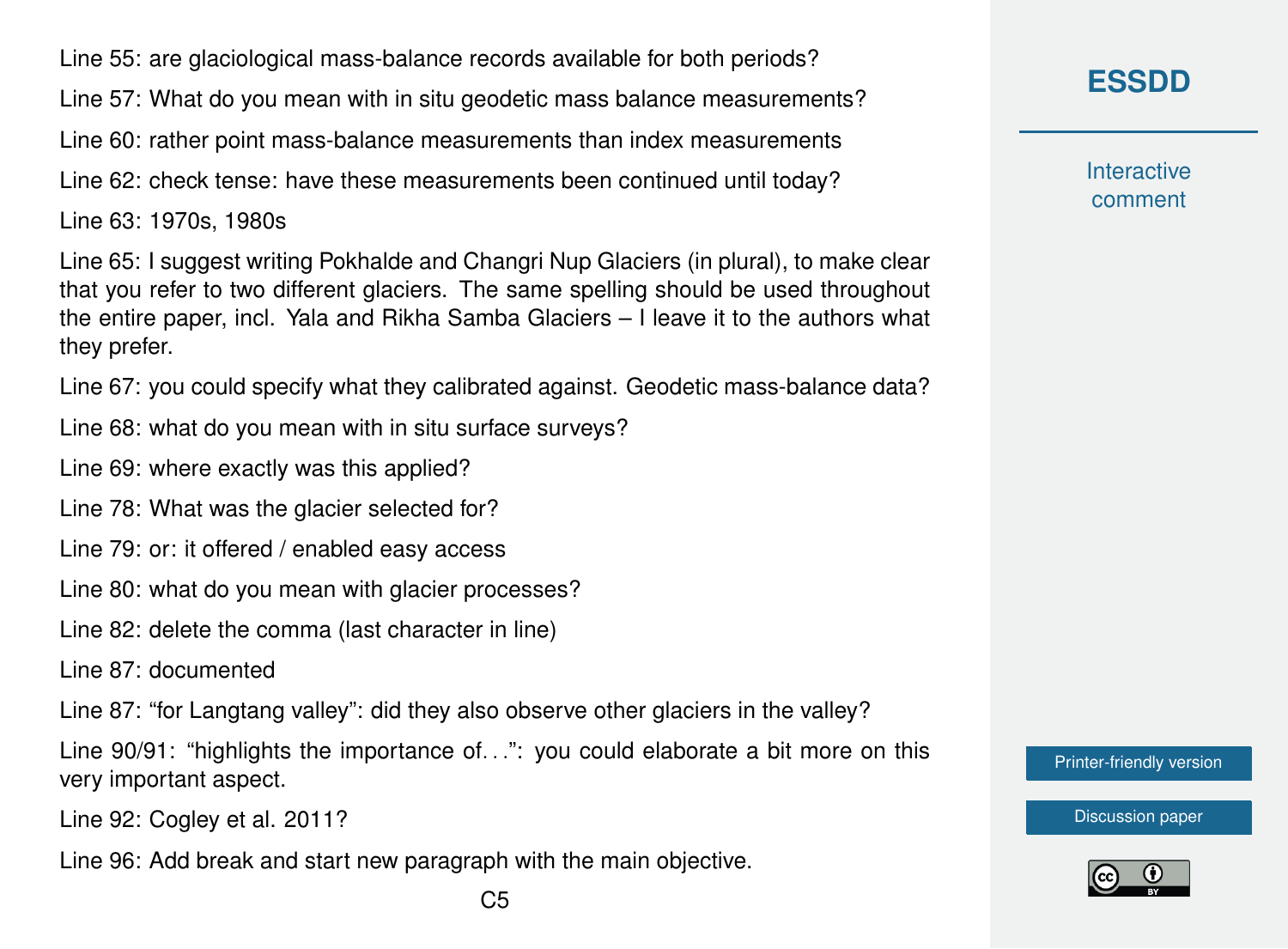Line 55: are glaciological mass-balance records available for both periods?

Line 57: What do you mean with in situ geodetic mass balance measurements?

Line 60: rather point mass-balance measurements than index measurements

Line 62: check tense: have these measurements been continued until today?

Line 63: 1970s, 1980s

Line 65: I suggest writing Pokhalde and Changri Nup Glaciers (in plural), to make clear that you refer to two different glaciers. The same spelling should be used throughout the entire paper, incl. Yala and Rikha Samba Glaciers – I leave it to the authors what they prefer.

Line 67: you could specify what they calibrated against. Geodetic mass-balance data?

Line 68: what do you mean with in situ surface surveys?

Line 69: where exactly was this applied?

Line 78: What was the glacier selected for?

Line 79: or: it offered / enabled easy access

Line 80: what do you mean with glacier processes?

Line 82: delete the comma (last character in line)

Line 87: documented

Line 87: "for Langtang valley": did they also observe other glaciers in the valley?

Line 90/91: "highlights the importance of...": you could elaborate a bit more on this very important aspect.

Line 92: Cogley et al. 2011?

Line 96: Add break and start new paragraph with the main objective.

**Interactive** comment

[Printer-friendly version](https://essd.copernicus.org/preprints/essd-2020-272/essd-2020-272-RC2-print.pdf)

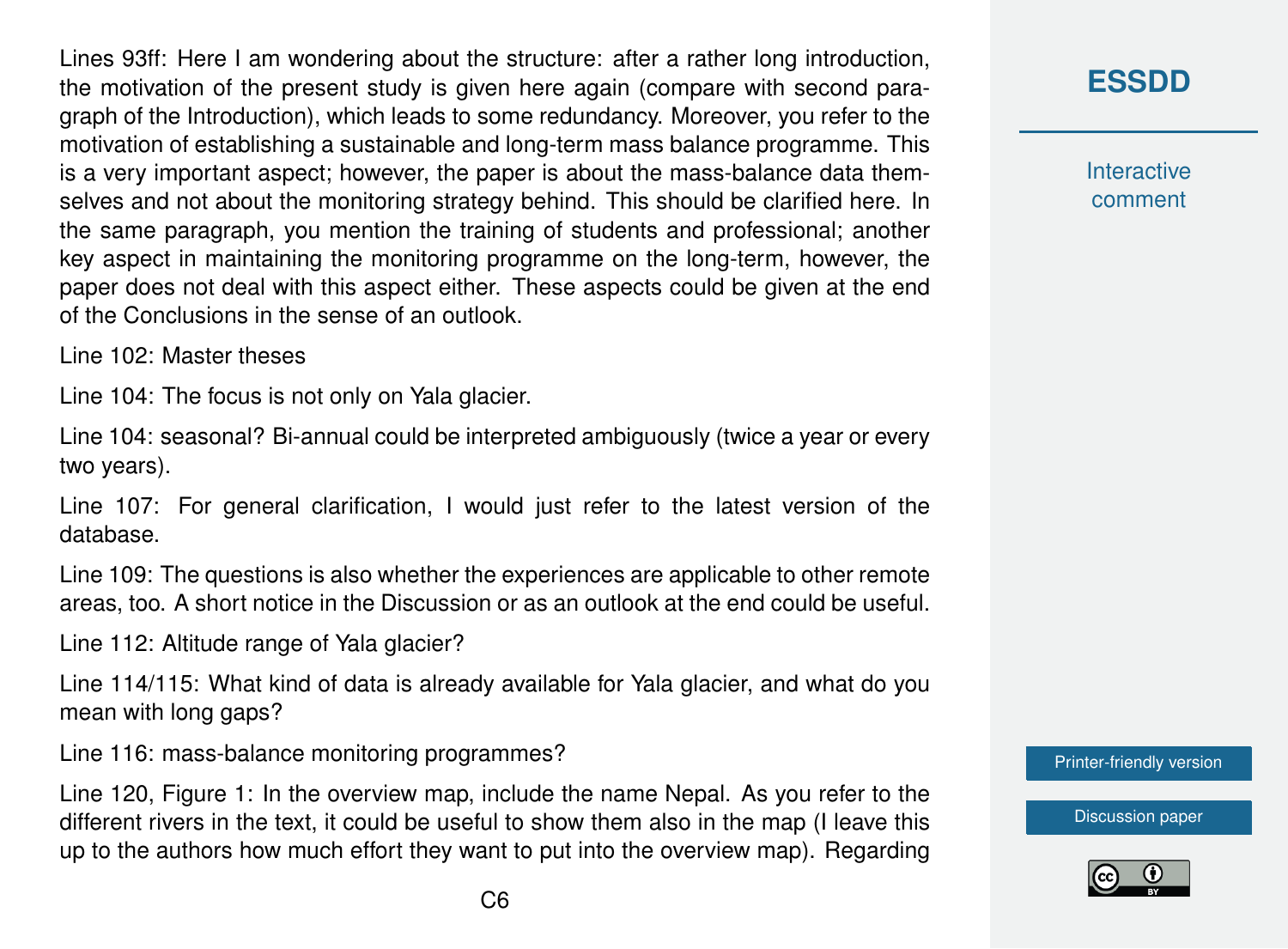Lines 93ff: Here I am wondering about the structure: after a rather long introduction, the motivation of the present study is given here again (compare with second paragraph of the Introduction), which leads to some redundancy. Moreover, you refer to the motivation of establishing a sustainable and long-term mass balance programme. This is a very important aspect; however, the paper is about the mass-balance data themselves and not about the monitoring strategy behind. This should be clarified here. In the same paragraph, you mention the training of students and professional; another key aspect in maintaining the monitoring programme on the long-term, however, the paper does not deal with this aspect either. These aspects could be given at the end of the Conclusions in the sense of an outlook.

Line 102: Master theses

Line 104: The focus is not only on Yala glacier.

Line 104: seasonal? Bi-annual could be interpreted ambiguously (twice a year or every two years).

Line 107: For general clarification, I would just refer to the latest version of the database.

Line 109: The questions is also whether the experiences are applicable to other remote areas, too. A short notice in the Discussion or as an outlook at the end could be useful.

Line 112: Altitude range of Yala glacier?

Line 114/115: What kind of data is already available for Yala glacier, and what do you mean with long gaps?

Line 116: mass-balance monitoring programmes?

Line 120, Figure 1: In the overview map, include the name Nepal. As you refer to the different rivers in the text, it could be useful to show them also in the map (I leave this up to the authors how much effort they want to put into the overview map). Regarding

## **[ESSDD](https://essd.copernicus.org/preprints/)**

**Interactive** comment

[Printer-friendly version](https://essd.copernicus.org/preprints/essd-2020-272/essd-2020-272-RC2-print.pdf)

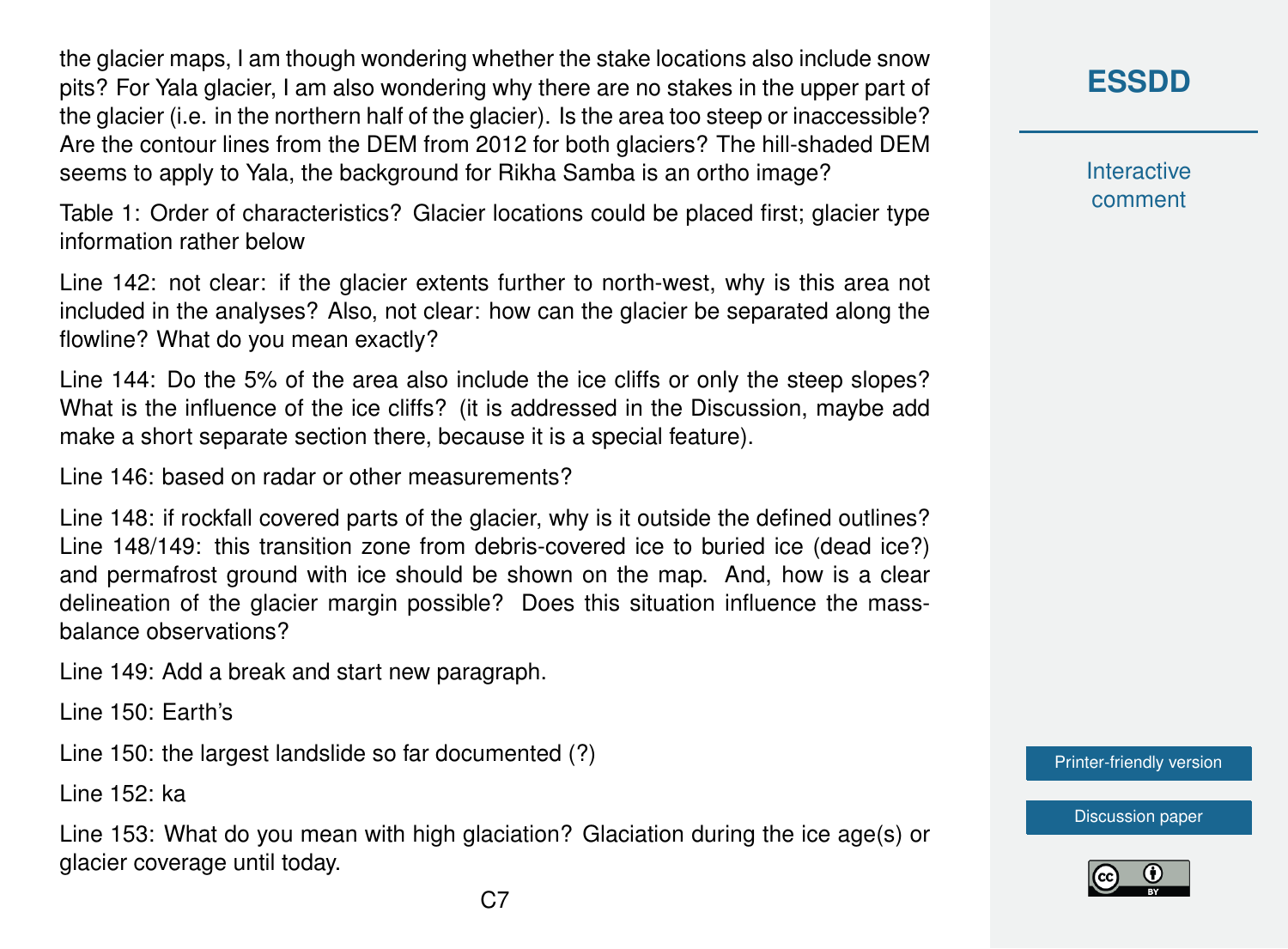the glacier maps, I am though wondering whether the stake locations also include snow pits? For Yala glacier, I am also wondering why there are no stakes in the upper part of the glacier (i.e. in the northern half of the glacier). Is the area too steep or inaccessible? Are the contour lines from the DEM from 2012 for both glaciers? The hill-shaded DEM seems to apply to Yala, the background for Rikha Samba is an ortho image?

Table 1: Order of characteristics? Glacier locations could be placed first; glacier type information rather below

Line 142: not clear: if the glacier extents further to north-west, why is this area not included in the analyses? Also, not clear: how can the glacier be separated along the flowline? What do you mean exactly?

Line 144: Do the 5% of the area also include the ice cliffs or only the steep slopes? What is the influence of the ice cliffs? (it is addressed in the Discussion, maybe add make a short separate section there, because it is a special feature).

Line 146: based on radar or other measurements?

Line 148: if rockfall covered parts of the glacier, why is it outside the defined outlines? Line 148/149: this transition zone from debris-covered ice to buried ice (dead ice?) and permafrost ground with ice should be shown on the map. And, how is a clear delineation of the glacier margin possible? Does this situation influence the massbalance observations?

Line 149: Add a break and start new paragraph.

Line 150: Earth's

Line 150: the largest landslide so far documented (?)

Line 152: ka

Line 153: What do you mean with high glaciation? Glaciation during the ice age(s) or glacier coverage until today.

**[ESSDD](https://essd.copernicus.org/preprints/)**

**Interactive** comment

[Printer-friendly version](https://essd.copernicus.org/preprints/essd-2020-272/essd-2020-272-RC2-print.pdf)

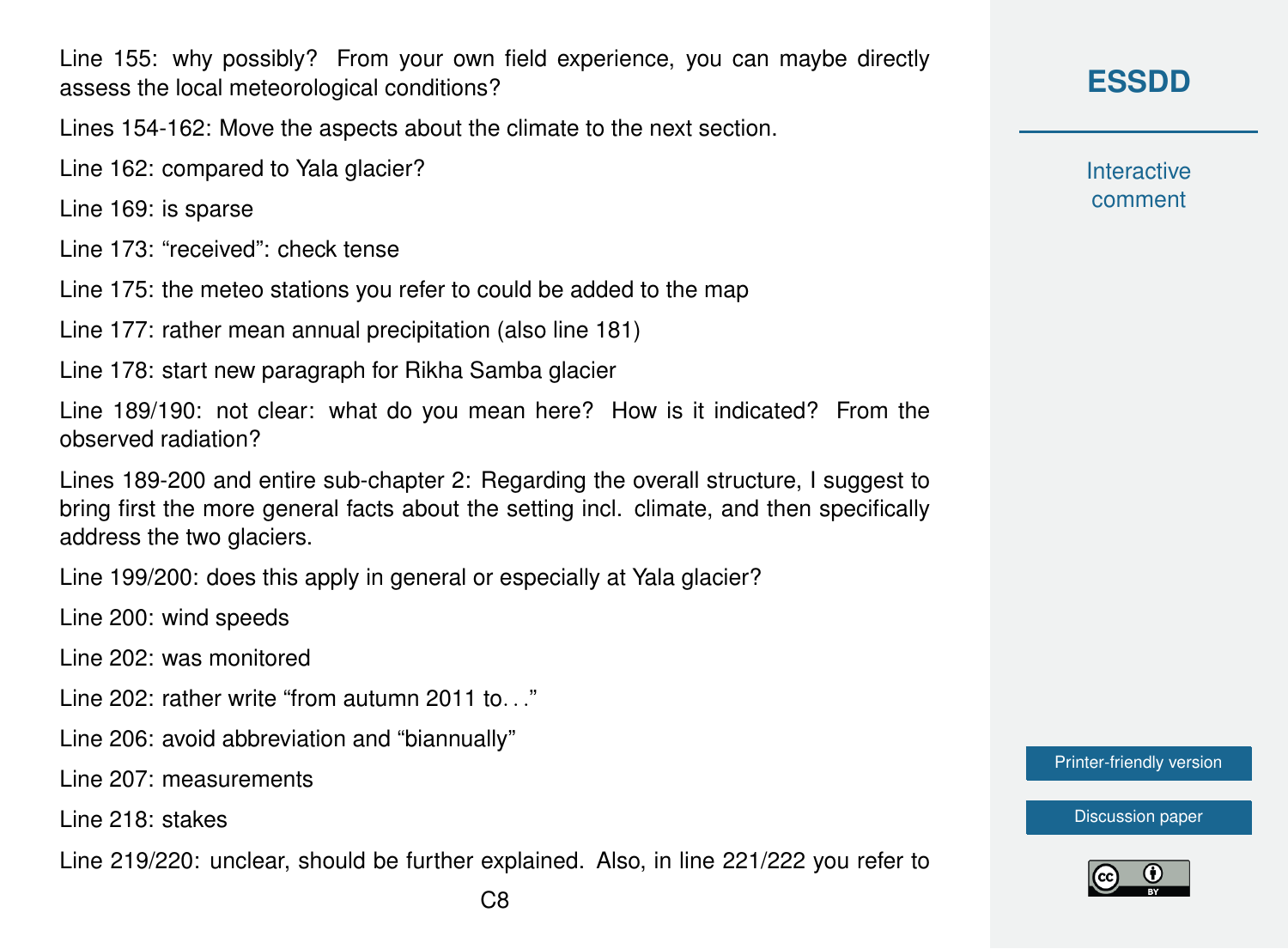Line 155: why possibly? From your own field experience, you can maybe directly assess the local meteorological conditions?

Lines 154-162: Move the aspects about the climate to the next section.

Line 162: compared to Yala glacier?

Line 169: is sparse

Line 173: "received": check tense

Line 175: the meteo stations you refer to could be added to the map

Line 177: rather mean annual precipitation (also line 181)

Line 178: start new paragraph for Rikha Samba glacier

Line 189/190: not clear: what do you mean here? How is it indicated? From the observed radiation?

Lines 189-200 and entire sub-chapter 2: Regarding the overall structure, I suggest to bring first the more general facts about the setting incl. climate, and then specifically address the two glaciers.

Line 199/200: does this apply in general or especially at Yala glacier?

Line 200: wind speeds

Line 202: was monitored

Line  $202$ : rather write "from autumn  $2011$  to. ..."

Line 206: avoid abbreviation and "biannually"

Line 207: measurements

Line 218: stakes

Line 219/220: unclear, should be further explained. Also, in line 221/222 you refer to

#### **[ESSDD](https://essd.copernicus.org/preprints/)**

**Interactive** comment

[Printer-friendly version](https://essd.copernicus.org/preprints/essd-2020-272/essd-2020-272-RC2-print.pdf)

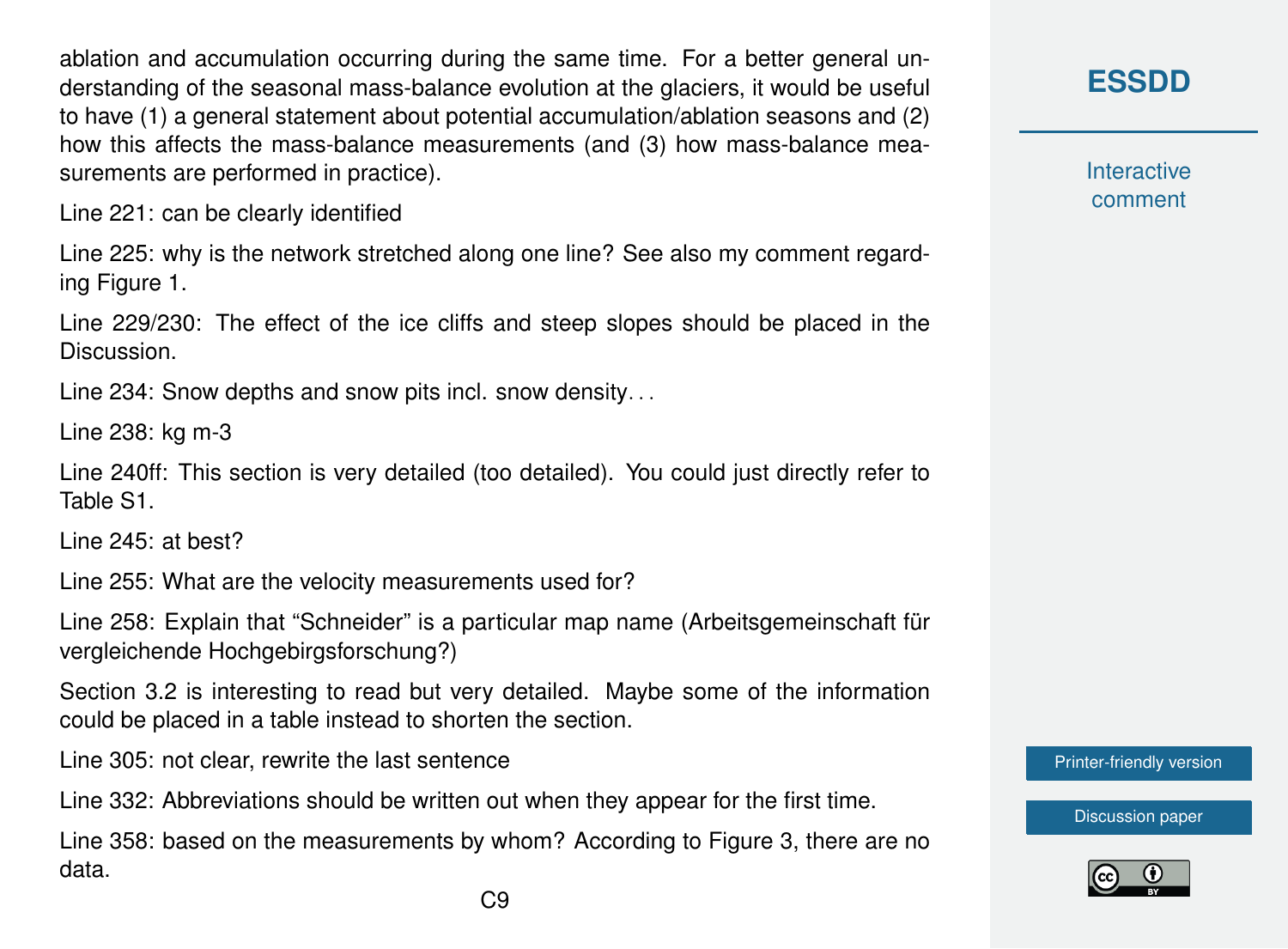ablation and accumulation occurring during the same time. For a better general understanding of the seasonal mass-balance evolution at the glaciers, it would be useful to have (1) a general statement about potential accumulation/ablation seasons and (2) how this affects the mass-balance measurements (and (3) how mass-balance measurements are performed in practice).

Line 221: can be clearly identified

Line 225: why is the network stretched along one line? See also my comment regarding Figure 1.

Line 229/230: The effect of the ice cliffs and steep slopes should be placed in the Discussion.

Line 234: Snow depths and snow pits incl. snow density...

Line 238: kg m-3

Line 240ff: This section is very detailed (too detailed). You could just directly refer to Table S1.

Line 245: at best?

Line 255: What are the velocity measurements used for?

Line 258: Explain that "Schneider" is a particular map name (Arbeitsgemeinschaft für vergleichende Hochgebirgsforschung?)

Section 3.2 is interesting to read but very detailed. Maybe some of the information could be placed in a table instead to shorten the section.

Line 305: not clear, rewrite the last sentence

Line 332: Abbreviations should be written out when they appear for the first time.

Line 358: based on the measurements by whom? According to Figure 3, there are no data.

**[ESSDD](https://essd.copernicus.org/preprints/)**

**Interactive** comment

[Printer-friendly version](https://essd.copernicus.org/preprints/essd-2020-272/essd-2020-272-RC2-print.pdf)

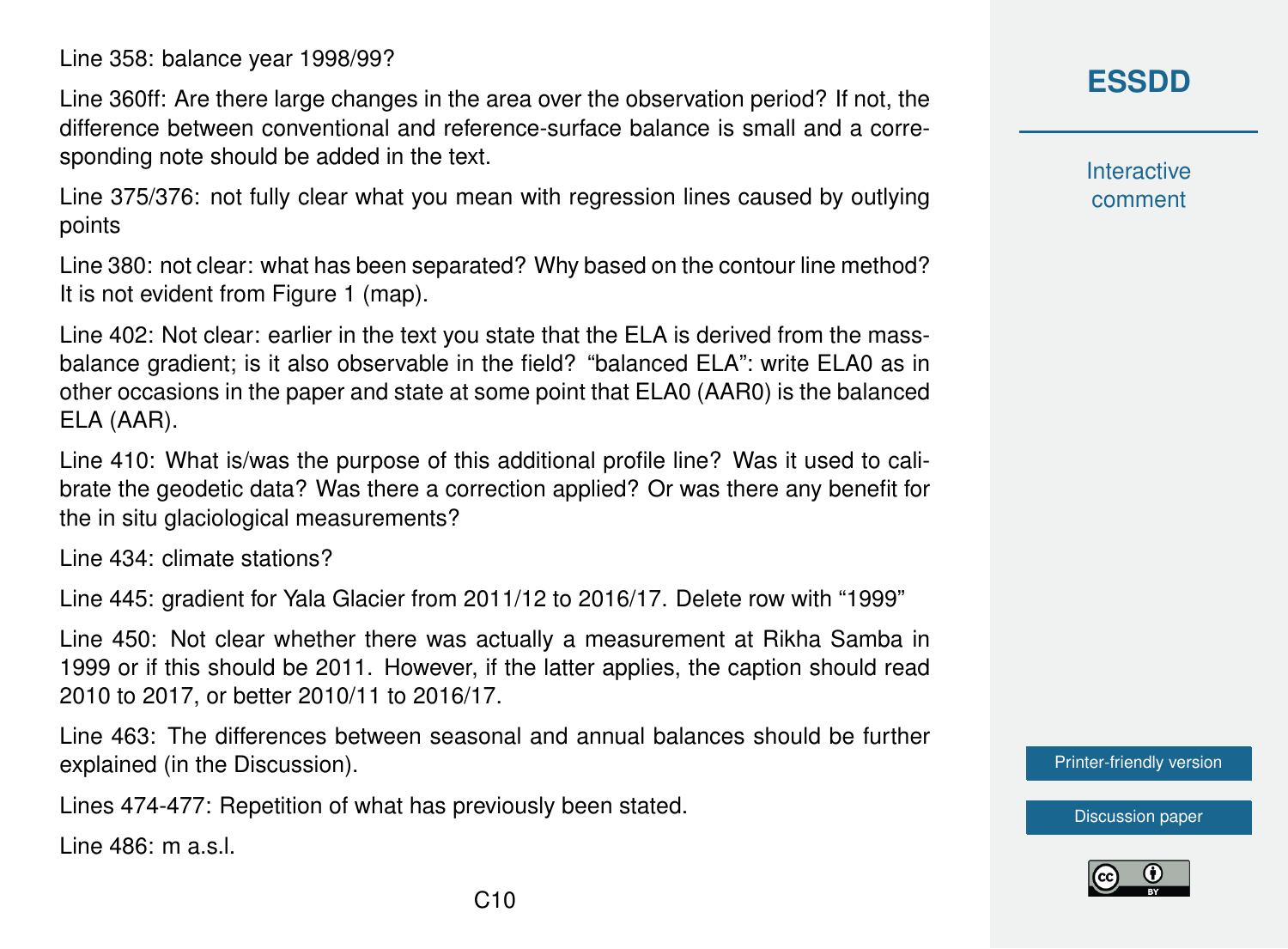Line 358: balance year 1998/99?

Line 360ff: Are there large changes in the area over the observation period? If not, the difference between conventional and reference-surface balance is small and a corresponding note should be added in the text.

Line 375/376: not fully clear what you mean with regression lines caused by outlying points

Line 380: not clear: what has been separated? Why based on the contour line method? It is not evident from Figure 1 (map).

Line 402: Not clear: earlier in the text you state that the ELA is derived from the massbalance gradient; is it also observable in the field? "balanced ELA": write ELA0 as in other occasions in the paper and state at some point that ELA0 (AAR0) is the balanced ELA (AAR).

Line 410: What is/was the purpose of this additional profile line? Was it used to calibrate the geodetic data? Was there a correction applied? Or was there any benefit for the in situ glaciological measurements?

Line 434: climate stations?

Line 445: gradient for Yala Glacier from 2011/12 to 2016/17. Delete row with "1999"

Line 450: Not clear whether there was actually a measurement at Rikha Samba in 1999 or if this should be 2011. However, if the latter applies, the caption should read 2010 to 2017, or better 2010/11 to 2016/17.

Line 463: The differences between seasonal and annual balances should be further explained (in the Discussion).

Lines 474-477: Repetition of what has previously been stated.

Line 486: m a.s.l.

#### **[ESSDD](https://essd.copernicus.org/preprints/)**

**Interactive** comment

[Printer-friendly version](https://essd.copernicus.org/preprints/essd-2020-272/essd-2020-272-RC2-print.pdf)

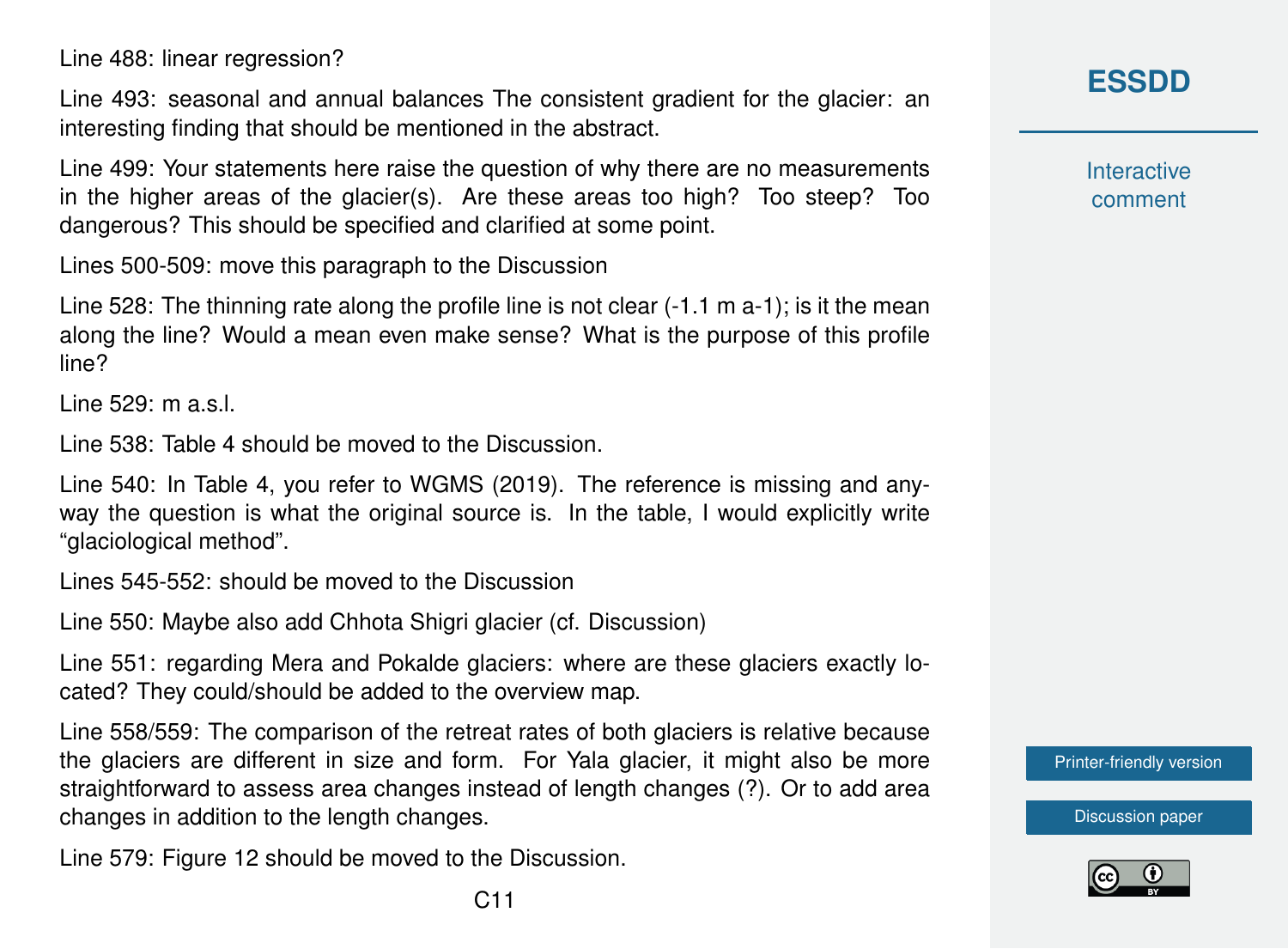Line 488: linear regression?

Line 493: seasonal and annual balances The consistent gradient for the glacier: an interesting finding that should be mentioned in the abstract.

Line 499: Your statements here raise the question of why there are no measurements in the higher areas of the glacier(s). Are these areas too high? Too steep? Too dangerous? This should be specified and clarified at some point.

Lines 500-509: move this paragraph to the Discussion

Line 528: The thinning rate along the profile line is not clear (-1.1 m a-1); is it the mean along the line? Would a mean even make sense? What is the purpose of this profile line?

Line 529: m a.s.l.

Line 538: Table 4 should be moved to the Discussion.

Line 540: In Table 4, you refer to WGMS (2019). The reference is missing and anyway the question is what the original source is. In the table, I would explicitly write "glaciological method".

Lines 545-552: should be moved to the Discussion

Line 550: Maybe also add Chhota Shigri glacier (cf. Discussion)

Line 551: regarding Mera and Pokalde glaciers: where are these glaciers exactly located? They could/should be added to the overview map.

Line 558/559: The comparison of the retreat rates of both glaciers is relative because the glaciers are different in size and form. For Yala glacier, it might also be more straightforward to assess area changes instead of length changes (?). Or to add area changes in addition to the length changes.

Line 579: Figure 12 should be moved to the Discussion.

**Interactive** comment

[Printer-friendly version](https://essd.copernicus.org/preprints/essd-2020-272/essd-2020-272-RC2-print.pdf)



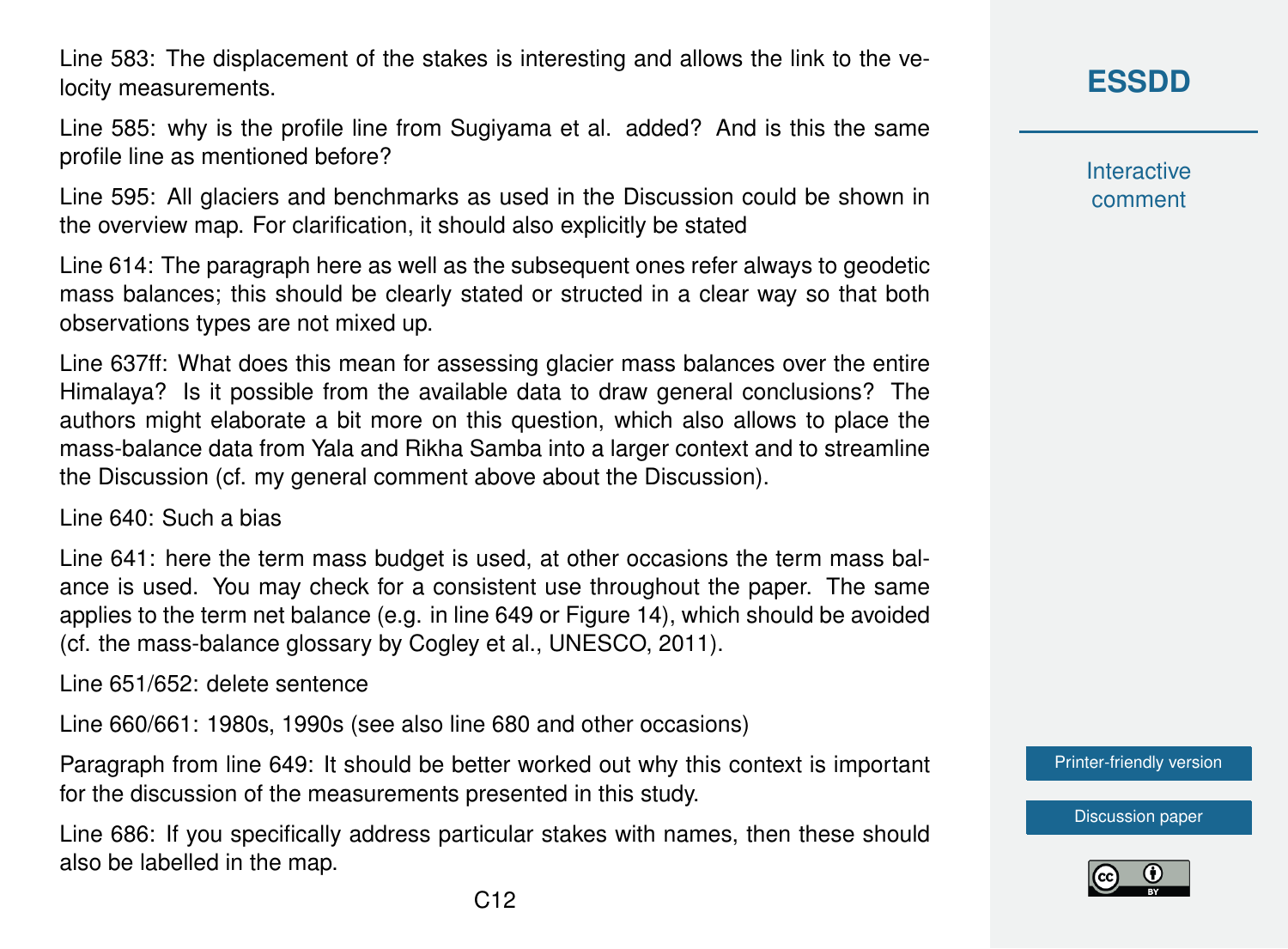Line 583: The displacement of the stakes is interesting and allows the link to the velocity measurements.

Line 585: why is the profile line from Sugiyama et al. added? And is this the same profile line as mentioned before?

Line 595: All glaciers and benchmarks as used in the Discussion could be shown in the overview map. For clarification, it should also explicitly be stated

Line 614: The paragraph here as well as the subsequent ones refer always to geodetic mass balances; this should be clearly stated or structed in a clear way so that both observations types are not mixed up.

Line 637ff: What does this mean for assessing glacier mass balances over the entire Himalaya? Is it possible from the available data to draw general conclusions? The authors might elaborate a bit more on this question, which also allows to place the mass-balance data from Yala and Rikha Samba into a larger context and to streamline the Discussion (cf. my general comment above about the Discussion).

Line 640: Such a bias

Line 641: here the term mass budget is used, at other occasions the term mass balance is used. You may check for a consistent use throughout the paper. The same applies to the term net balance (e.g. in line 649 or Figure 14), which should be avoided (cf. the mass-balance glossary by Cogley et al., UNESCO, 2011).

Line 651/652: delete sentence

Line 660/661: 1980s, 1990s (see also line 680 and other occasions)

Paragraph from line 649: It should be better worked out why this context is important for the discussion of the measurements presented in this study.

Line 686: If you specifically address particular stakes with names, then these should also be labelled in the map.

**Interactive** comment

[Printer-friendly version](https://essd.copernicus.org/preprints/essd-2020-272/essd-2020-272-RC2-print.pdf)

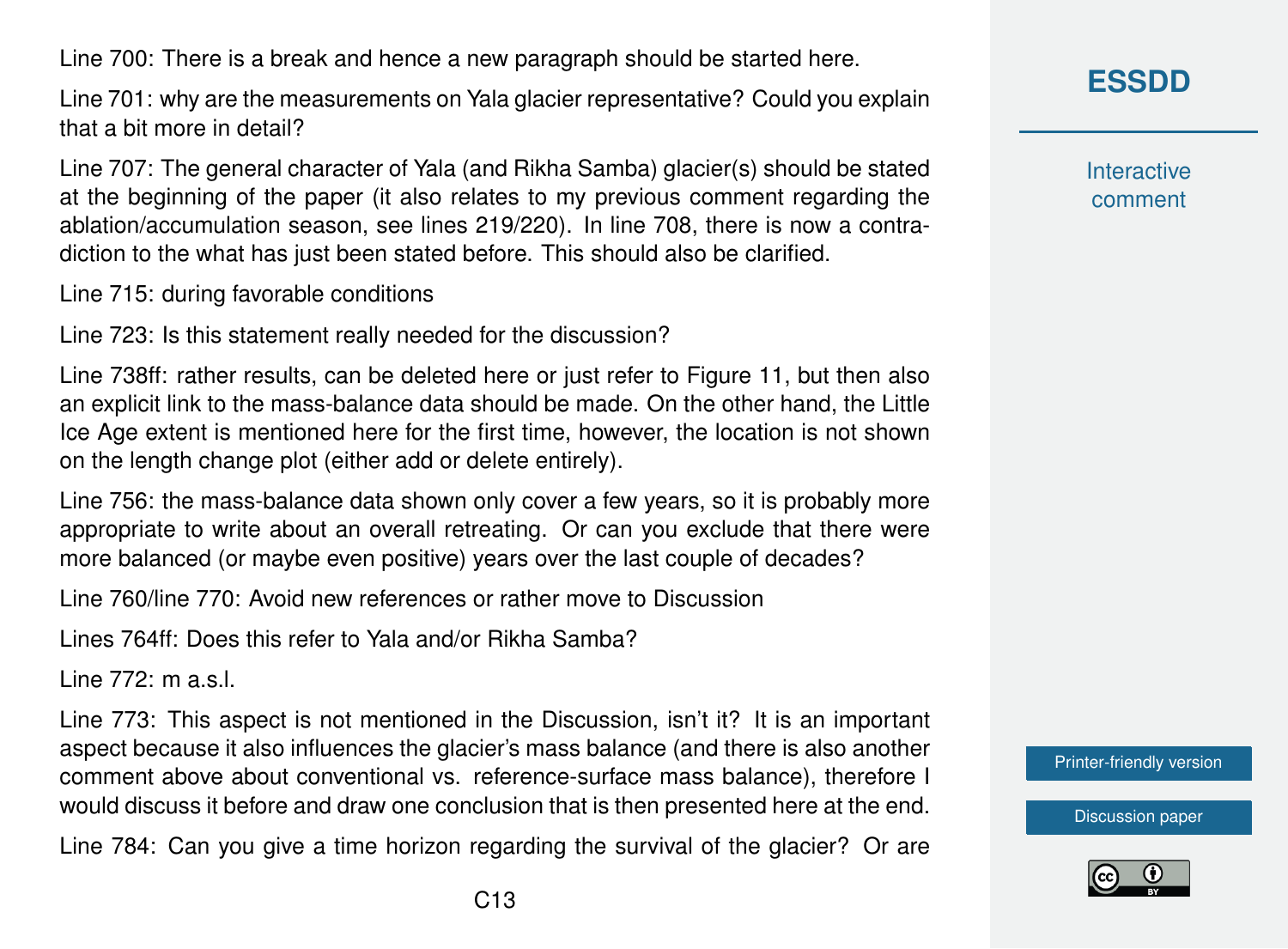Line 700: There is a break and hence a new paragraph should be started here.

Line 701: why are the measurements on Yala glacier representative? Could you explain that a bit more in detail?

Line 707: The general character of Yala (and Rikha Samba) glacier(s) should be stated at the beginning of the paper (it also relates to my previous comment regarding the ablation/accumulation season, see lines 219/220). In line 708, there is now a contradiction to the what has just been stated before. This should also be clarified.

Line 715: during favorable conditions

Line 723: Is this statement really needed for the discussion?

Line 738ff: rather results, can be deleted here or just refer to Figure 11, but then also an explicit link to the mass-balance data should be made. On the other hand, the Little Ice Age extent is mentioned here for the first time, however, the location is not shown on the length change plot (either add or delete entirely).

Line 756: the mass-balance data shown only cover a few years, so it is probably more appropriate to write about an overall retreating. Or can you exclude that there were more balanced (or maybe even positive) years over the last couple of decades?

Line 760/line 770: Avoid new references or rather move to Discussion

Lines 764ff: Does this refer to Yala and/or Rikha Samba?

Line 772: m a.s.l.

Line 773: This aspect is not mentioned in the Discussion, isn't it? It is an important aspect because it also influences the glacier's mass balance (and there is also another comment above about conventional vs. reference-surface mass balance), therefore I would discuss it before and draw one conclusion that is then presented here at the end.

Line 784: Can you give a time horizon regarding the survival of the glacier? Or are

**Interactive** comment

[Printer-friendly version](https://essd.copernicus.org/preprints/essd-2020-272/essd-2020-272-RC2-print.pdf)